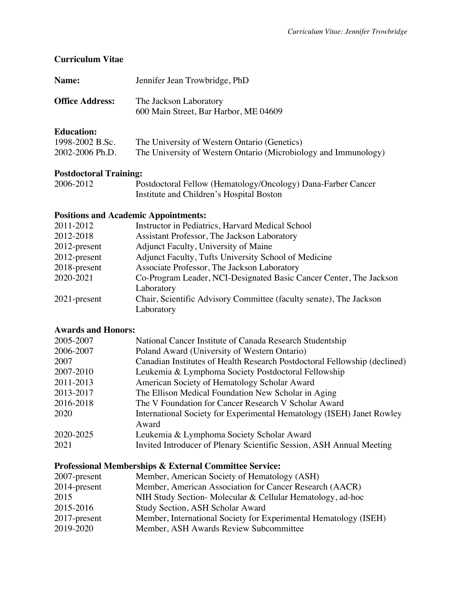### **Curriculum Vitae**

| Name:                  | Jennifer Jean Trowbridge, PhD                                   |
|------------------------|-----------------------------------------------------------------|
| <b>Office Address:</b> | The Jackson Laboratory<br>600 Main Street, Bar Harbor, ME 04609 |
| <b>Education:</b>      |                                                                 |

# 1998-2002 B.Sc. The University of Western Ontario (Genetics) 2002-2006 Ph.D. The University of Western Ontario (Microbiology and Immunology)

### **Postdoctoral Training:**

| 2006-2012 | Postdoctoral Fellow (Hematology/Oncology) Dana-Farber Cancer |
|-----------|--------------------------------------------------------------|
|           | Institute and Children's Hospital Boston                     |

#### **Positions and Academic Appointments:**

| 2011-2012       | Instructor in Pediatrics, Harvard Medical School                   |
|-----------------|--------------------------------------------------------------------|
| 2012-2018       | Assistant Professor, The Jackson Laboratory                        |
| $2012$ -present | Adjunct Faculty, University of Maine                               |
| 2012-present    | Adjunct Faculty, Tufts University School of Medicine               |
| 2018-present    | Associate Professor, The Jackson Laboratory                        |
| 2020-2021       | Co-Program Leader, NCI-Designated Basic Cancer Center, The Jackson |
|                 | Laboratory                                                         |
| $2021$ -present | Chair, Scientific Advisory Committee (faculty senate), The Jackson |
|                 | Laboratory                                                         |

### **Awards and Honors:**

| 2005-2007 | National Cancer Institute of Canada Research Studentship                  |
|-----------|---------------------------------------------------------------------------|
| 2006-2007 | Poland Award (University of Western Ontario)                              |
| 2007      | Canadian Institutes of Health Research Postdoctoral Fellowship (declined) |
| 2007-2010 | Leukemia & Lymphoma Society Postdoctoral Fellowship                       |
| 2011-2013 | American Society of Hematology Scholar Award                              |
| 2013-2017 | The Ellison Medical Foundation New Scholar in Aging                       |
| 2016-2018 | The V Foundation for Cancer Research V Scholar Award                      |
| 2020      | International Society for Experimental Hematology (ISEH) Janet Rowley     |
|           | Award                                                                     |
| 2020-2025 | Leukemia & Lymphoma Society Scholar Award                                 |
| 2021      | Invited Introducer of Plenary Scientific Session, ASH Annual Meeting      |

## **Professional Memberships & External Committee Service:**

| 2007-present | Member, American Society of Hematology (ASH)                     |
|--------------|------------------------------------------------------------------|
| 2014-present | Member, American Association for Cancer Research (AACR)          |
| 2015         | NIH Study Section-Molecular & Cellular Hematology, ad-hoc        |
| 2015-2016    | Study Section, ASH Scholar Award                                 |
| 2017-present | Member, International Society for Experimental Hematology (ISEH) |
| 2019-2020    | Member, ASH Awards Review Subcommittee                           |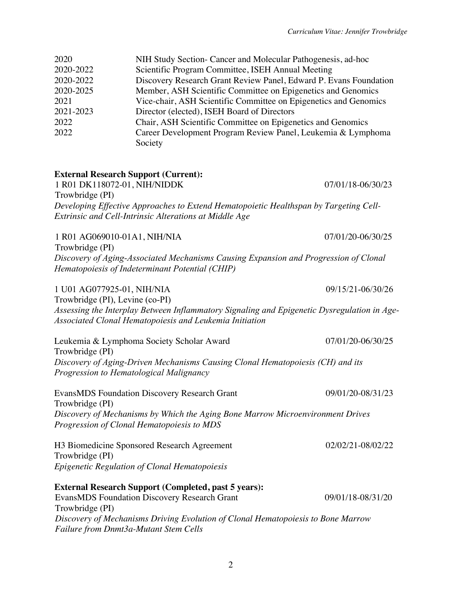| 2020                                                                 | NIH Study Section- Cancer and Molecular Pathogenesis, ad-hoc                          |                                                                   |  |
|----------------------------------------------------------------------|---------------------------------------------------------------------------------------|-------------------------------------------------------------------|--|
| 2020-2022                                                            | Scientific Program Committee, ISEH Annual Meeting                                     |                                                                   |  |
| 2020-2022                                                            |                                                                                       | Discovery Research Grant Review Panel, Edward P. Evans Foundation |  |
| 2020-2025                                                            | Member, ASH Scientific Committee on Epigenetics and Genomics                          |                                                                   |  |
| 2021                                                                 | Vice-chair, ASH Scientific Committee on Epigenetics and Genomics                      |                                                                   |  |
| 2021-2023                                                            | Director (elected), ISEH Board of Directors                                           |                                                                   |  |
| 2022                                                                 | Chair, ASH Scientific Committee on Epigenetics and Genomics                           |                                                                   |  |
| 2022<br>Career Development Program Review Panel, Leukemia & Lymphoma |                                                                                       |                                                                   |  |
|                                                                      | Society                                                                               |                                                                   |  |
|                                                                      |                                                                                       |                                                                   |  |
|                                                                      | <b>External Research Support (Current):</b>                                           |                                                                   |  |
|                                                                      | 1 R01 DK118072-01, NIH/NIDDK                                                          | 07/01/18-06/30/23                                                 |  |
| Trowbridge (PI)                                                      |                                                                                       |                                                                   |  |
|                                                                      | Developing Effective Approaches to Extend Hematopoietic Healthspan by Targeting Cell- |                                                                   |  |
|                                                                      | Extrinsic and Cell-Intrinsic Alterations at Middle Age                                |                                                                   |  |
|                                                                      | 1 R01 AG069010-01A1, NIH/NIA                                                          | 07/01/20-06/30/25                                                 |  |

Trowbridge (PI) *Discovery of Aging-Associated Mechanisms Causing Expansion and Progression of Clonal Hematopoiesis of Indeterminant Potential (CHIP)*

#### 1 U01 AG077925-01, NIH/NIA 09/15/21-06/30/26

Trowbridge (PI), Levine (co-PI) *Assessing the Interplay Between Inflammatory Signaling and Epigenetic Dysregulation in Age-Associated Clonal Hematopoiesis and Leukemia Initiation*

Leukemia & Lymphoma Society Scholar Award 07/01/20-06/30/25 Trowbridge (PI) *Discovery of Aging-Driven Mechanisms Causing Clonal Hematopoiesis (CH) and its Progression to Hematological Malignancy*

EvansMDS Foundation Discovery Research Grant 09/01/20-08/31/23 Trowbridge (PI) *Discovery of Mechanisms by Which the Aging Bone Marrow Microenvironment Drives Progression of Clonal Hematopoiesis to MDS*

H3 Biomedicine Sponsored Research Agreement 02/02/21-08/02/22 Trowbridge (PI) *Epigenetic Regulation of Clonal Hematopoiesis*

### **External Research Support (Completed, past 5 years):** EvansMDS Foundation Discovery Research Grant 09/01/18-08/31/20 Trowbridge (PI) *Discovery of Mechanisms Driving Evolution of Clonal Hematopoiesis to Bone Marrow*

*Failure from Dnmt3a-Mutant Stem Cells*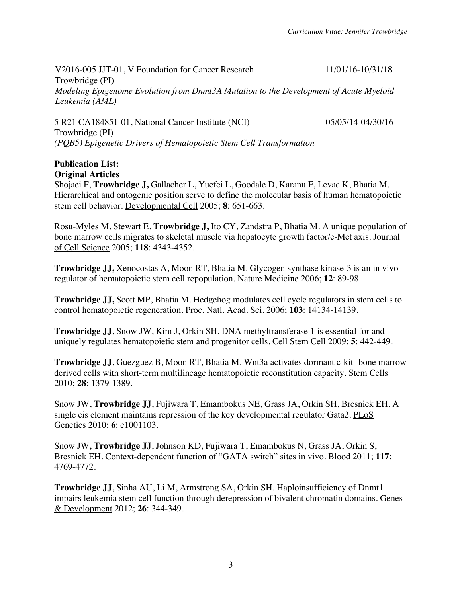V2016-005 JJT-01, V Foundation for Cancer Research Trowbridge (PI) 11/01/16-10/31/18 *Modeling Epigenome Evolution from Dnmt3A Mutation to the Development of Acute Myeloid Leukemia (AML)*

5 R21 CA184851-01, National Cancer Institute (NCI) 05/05/14-04/30/16 Trowbridge (PI) *(PQB5) Epigenetic Drivers of Hematopoietic Stem Cell Transformation*

#### **Publication List: Original Articles**

Shojaei F, **Trowbridge J,** Gallacher L, Yuefei L, Goodale D, Karanu F, Levac K, Bhatia M. Hierarchical and ontogenic position serve to define the molecular basis of human hematopoietic stem cell behavior. Developmental Cell 2005; **8**: 651-663.

Rosu-Myles M, Stewart E, **Trowbridge J,** Ito CY, Zandstra P, Bhatia M. A unique population of bone marrow cells migrates to skeletal muscle via hepatocyte growth factor/c-Met axis. Journal of Cell Science 2005; **118**: 4343-4352.

**Trowbridge JJ,** Xenocostas A, Moon RT, Bhatia M. Glycogen synthase kinase-3 is an in vivo regulator of hematopoietic stem cell repopulation. Nature Medicine 2006; **12**: 89-98.

**Trowbridge JJ,** Scott MP, Bhatia M. Hedgehog modulates cell cycle regulators in stem cells to control hematopoietic regeneration. Proc. Natl. Acad. Sci. 2006; **103**: 14134-14139.

**Trowbridge JJ**, Snow JW, Kim J, Orkin SH. DNA methyltransferase 1 is essential for and uniquely regulates hematopoietic stem and progenitor cells. Cell Stem Cell 2009; **5**: 442-449.

**Trowbridge JJ**, Guezguez B, Moon RT, Bhatia M. Wnt3a activates dormant c-kit- bone marrow derived cells with short-term multilineage hematopoietic reconstitution capacity. Stem Cells 2010; **28**: 1379-1389.

Snow JW, **Trowbridge JJ**, Fujiwara T, Emambokus NE, Grass JA, Orkin SH, Bresnick EH. A single cis element maintains repression of the key developmental regulator Gata2. PLoS Genetics 2010; **6**: e1001103.

Snow JW, **Trowbridge JJ**, Johnson KD, Fujiwara T, Emambokus N, Grass JA, Orkin S, Bresnick EH. Context-dependent function of "GATA switch" sites in vivo. Blood 2011; **117**: 4769-4772.

**Trowbridge JJ**, Sinha AU, Li M, Armstrong SA, Orkin SH. Haploinsufficiency of Dnmt1 impairs leukemia stem cell function through derepression of bivalent chromatin domains. Genes & Development 2012; **26**: 344-349.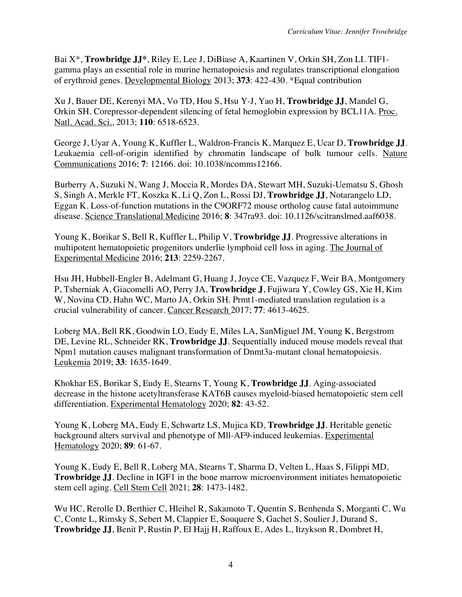Bai X\*, **Trowbridge JJ\***, Riley E, Lee J, DiBiase A, Kaartinen V, Orkin SH, Zon LI. TIF1 gamma plays an essential role in murine hematopoiesis and regulates transcriptional elongation of erythroid genes. Developmental Biology 2013; **373**: 422-430. \*Equal contribution

Xu J, Bauer DE, Kerenyi MA, Vo TD, Hou S, Hsu Y-J, Yao H, **Trowbridge JJ**, Mandel G, Orkin SH. Corepressor-dependent silencing of fetal hemoglobin expression by BCL11A. Proc. Natl. Acad. Sci., 2013; **110**: 6518-6523.

George J, Uyar A, Young K, Kuffler L, Waldron-Francis K, Marquez E, Ucar D, **Trowbridge JJ**. Leukaemia cell-of-origin identified by chromatin landscape of bulk tumour cells. Nature Communications 2016; **7**: 12166. doi: 10.1038/ncomms12166.

Burberry A, Suzuki N, Wang J, Moccia R, Mordes DA, Stewart MH, Suzuki-Uematsu S, Ghosh S, Singh A, Merkle FT, Koszka K, Li Q, Zon L, Rossi DJ, **Trowbridge JJ**, Notarangelo LD, Eggan K. Loss-of-function mutations in the C9ORF72 mouse ortholog cause fatal autoimmune disease. Science Translational Medicine 2016; **8**: 347ra93. doi: 10.1126/scitranslmed.aaf6038.

Young K, Borikar S, Bell R, Kuffler L, Philip V, **Trowbridge JJ**. Progressive alterations in multipotent hematopoietic progenitors underlie lymphoid cell loss in aging. The Journal of Experimental Medicine 2016; **213**: 2259-2267.

Hsu JH, Hubbell-Engler B, Adelmant G, Huang J, Joyce CE, Vazquez F, Weir BA, Montgomery P, Tsherniak A, Giacomelli AO, Perry JA, **Trowbridge J**, Fujiwara Y, Cowley GS, Xie H, Kim W, Novina CD, Hahn WC, Marto JA, Orkin SH. Prmt1-mediated translation regulation is a crucial vulnerability of cancer. Cancer Research 2017; **77**: 4613-4625.

Loberg MA, Bell RK, Goodwin LO, Eudy E, Miles LA, SanMiguel JM, Young K, Bergstrom DE, Levine RL, Schneider RK, **Trowbridge JJ**. Sequentially induced mouse models reveal that Npm1 mutation causes malignant transformation of Dnmt3a-mutant clonal hematopoiesis. Leukemia 2019; **33**: 1635-1649.

Khokhar ES, Borikar S, Eudy E, Stearns T, Young K, **Trowbridge JJ**. Aging-associated decrease in the histone acetyltransferase KAT6B causes myeloid-biased hematopoietic stem cell differentiation. Experimental Hematology 2020; **82**: 43-52.

Young K, Loberg MA, Eudy E, Schwartz LS, Mujica KD, **Trowbridge JJ**. Heritable genetic background alters survival and phenotype of Mll-AF9-induced leukemias. Experimental Hematology 2020; **89**: 61-67.

Young K, Eudy E, Bell R, Loberg MA, Stearns T, Sharma D, Velten L, Haas S, Filippi MD, **Trowbridge J.J.** Decline in IGF1 in the bone marrow microenvironment initiates hematopoietic stem cell aging. Cell Stem Cell 2021; **28**: 1473-1482.

Wu HC, Rerolle D, Berthier C, Hleihel R, Sakamoto T, Quentin S, Benhenda S, Morganti C, Wu C, Conte L, Rimsky S, Sebert M, Clappier E, Souquere S, Gachet S, Soulier J, Durand S, **Trowbridge JJ**, Benit P, Rustin P, El Hajj H, Raffoux E, Ades L, Itzykson R, Dombret H,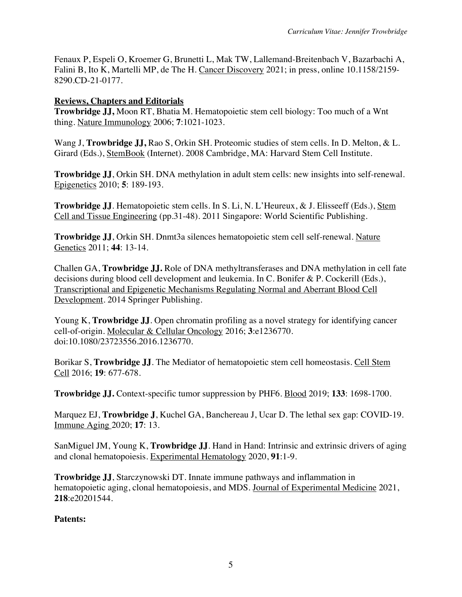Fenaux P, Espeli O, Kroemer G, Brunetti L, Mak TW, Lallemand-Breitenbach V, Bazarbachi A, Falini B, Ito K, Martelli MP, de The H. Cancer Discovery 2021; in press, online 10.1158/2159-8290.CD-21-0177.

### **Reviews, Chapters and Editorials**

**Trowbridge JJ,** Moon RT, Bhatia M. Hematopoietic stem cell biology: Too much of a Wnt thing. Nature Immunology 2006; **7**:1021-1023.

Wang J, **Trowbridge JJ,** Rao S, Orkin SH. Proteomic studies of stem cells. In D. Melton, & L. Girard (Eds.), StemBook (Internet). 2008 Cambridge, MA: Harvard Stem Cell Institute.

**Trowbridge JJ**, Orkin SH. DNA methylation in adult stem cells: new insights into self-renewal. Epigenetics 2010; **5**: 189-193.

**Trowbridge JJ**. Hematopoietic stem cells. In S. Li, N. L'Heureux, & J. Elisseeff (Eds.), Stem Cell and Tissue Engineering (pp.31-48). 2011 Singapore: World Scientific Publishing.

**Trowbridge JJ**, Orkin SH. Dnmt3a silences hematopoietic stem cell self-renewal. Nature Genetics 2011; **44**: 13-14.

Challen GA, **Trowbridge JJ.** Role of DNA methyltransferases and DNA methylation in cell fate decisions during blood cell development and leukemia. In C. Bonifer & P. Cockerill (Eds.), Transcriptional and Epigenetic Mechanisms Regulating Normal and Aberrant Blood Cell Development*.* 2014 Springer Publishing.

Young K, **Trowbridge JJ**. Open chromatin profiling as a novel strategy for identifying cancer cell-of-origin. Molecular & Cellular Oncology 2016; **3**:e1236770. doi:10.1080/23723556.2016.1236770.

Borikar S, **Trowbridge JJ**. The Mediator of hematopoietic stem cell homeostasis. Cell Stem Cell 2016; **19**: 677-678.

**Trowbridge JJ.** Context-specific tumor suppression by PHF6. Blood 2019; **133**: 1698-1700.

Marquez EJ, **Trowbridge J**, Kuchel GA, Banchereau J, Ucar D. The lethal sex gap: COVID-19. Immune Aging 2020; **17**: 13.

SanMiguel JM, Young K, **Trowbridge JJ.** Hand in Hand: Intrinsic and extrinsic drivers of aging and clonal hematopoiesis. Experimental Hematology 2020, **91**:1-9.

**Trowbridge JJ**, Starczynowski DT. Innate immune pathways and inflammation in hematopoietic aging, clonal hematopoiesis, and MDS. Journal of Experimental Medicine 2021, **218**:e20201544.

### **Patents:**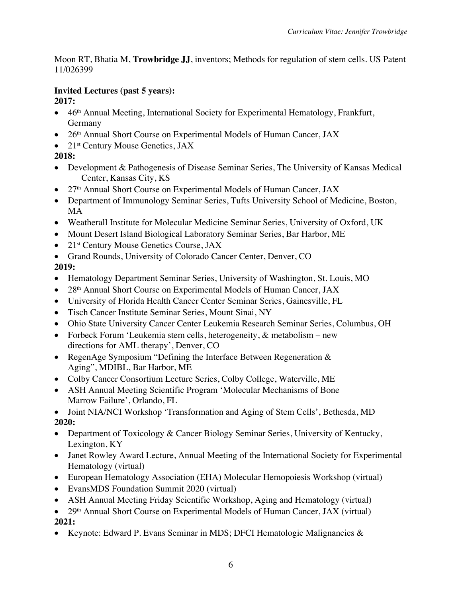Moon RT, Bhatia M, **Trowbridge JJ**, inventors; Methods for regulation of stem cells. US Patent 11/026399

# **Invited Lectures (past 5 years):**

**2017:** 

- 46<sup>th</sup> Annual Meeting, International Society for Experimental Hematology, Frankfurt, Germany
- 26<sup>th</sup> Annual Short Course on Experimental Models of Human Cancer, JAX
- 21<sup>st</sup> Century Mouse Genetics, JAX

# **2018:**

- Development & Pathogenesis of Disease Seminar Series, The University of Kansas Medical Center, Kansas City, KS
- 27<sup>th</sup> Annual Short Course on Experimental Models of Human Cancer, JAX
- Department of Immunology Seminar Series, Tufts University School of Medicine, Boston, MA
- Weatherall Institute for Molecular Medicine Seminar Series, University of Oxford, UK
- Mount Desert Island Biological Laboratory Seminar Series, Bar Harbor, ME
- 21<sup>st</sup> Century Mouse Genetics Course, JAX
- Grand Rounds, University of Colorado Cancer Center, Denver, CO

# **2019:**

- Hematology Department Seminar Series, University of Washington, St. Louis, MO
- 28<sup>th</sup> Annual Short Course on Experimental Models of Human Cancer, JAX
- University of Florida Health Cancer Center Seminar Series, Gainesville, FL
- Tisch Cancer Institute Seminar Series, Mount Sinai, NY
- Ohio State University Cancer Center Leukemia Research Seminar Series, Columbus, OH
- Forbeck Forum 'Leukemia stem cells, heterogeneity, & metabolism new directions for AML therapy', Denver, CO
- RegenAge Symposium "Defining the Interface Between Regeneration & Aging", MDIBL, Bar Harbor, ME
- Colby Cancer Consortium Lecture Series, Colby College, Waterville, ME
- ASH Annual Meeting Scientific Program 'Molecular Mechanisms of Bone Marrow Failure', Orlando, FL
- Joint NIA/NCI Workshop 'Transformation and Aging of Stem Cells', Bethesda, MD **2020:**
- 
- Department of Toxicology & Cancer Biology Seminar Series, University of Kentucky, Lexington, KY
- Janet Rowley Award Lecture, Annual Meeting of the International Society for Experimental Hematology (virtual)
- European Hematology Association (EHA) Molecular Hemopoiesis Workshop (virtual)
- EvansMDS Foundation Summit 2020 (virtual)
- ASH Annual Meeting Friday Scientific Workshop, Aging and Hematology (virtual)
- 29<sup>th</sup> Annual Short Course on Experimental Models of Human Cancer, JAX (virtual) **2021:**
- Keynote: Edward P. Evans Seminar in MDS; DFCI Hematologic Malignancies &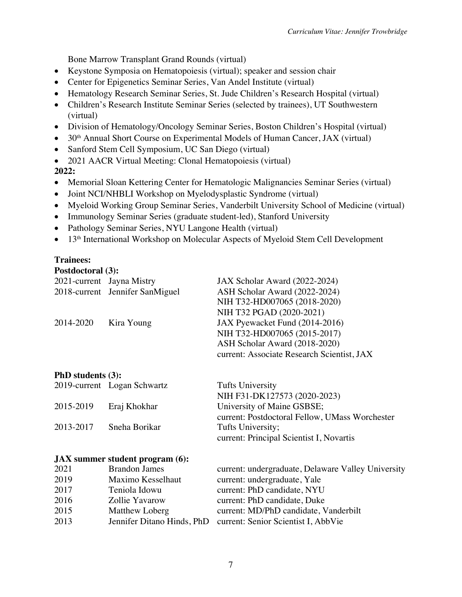Bone Marrow Transplant Grand Rounds (virtual)

- Keystone Symposia on Hematopoiesis (virtual); speaker and session chair
- Center for Epigenetics Seminar Series, Van Andel Institute (virtual)
- Hematology Research Seminar Series, St. Jude Children's Research Hospital (virtual)
- Children's Research Institute Seminar Series (selected by trainees), UT Southwestern (virtual)
- Division of Hematology/Oncology Seminar Series, Boston Children's Hospital (virtual)
- 30<sup>th</sup> Annual Short Course on Experimental Models of Human Cancer, JAX (virtual)
- Sanford Stem Cell Symposium, UC San Diego (virtual)
- 2021 AACR Virtual Meeting: Clonal Hematopoiesis (virtual)

# **2022:**

- Memorial Sloan Kettering Center for Hematologic Malignancies Seminar Series (virtual)
- Joint NCI/NHBLI Workshop on Myelodysplastic Syndrome (virtual)
- Myeloid Working Group Seminar Series, Vanderbilt University School of Medicine (virtual)
- Immunology Seminar Series (graduate student-led), Stanford University
- Pathology Seminar Series, NYU Langone Health (virtual)
- 13<sup>th</sup> International Workshop on Molecular Aspects of Myeloid Stem Cell Development

# **Trainees:**

| <b>Postdoctoral (3):</b>  |                                 |                                            |
|---------------------------|---------------------------------|--------------------------------------------|
| 2021-current Jayna Mistry |                                 | JAX Scholar Award (2022-2024)              |
|                           | 2018-current Jennifer SanMiguel | ASH Scholar Award (2022-2024)              |
|                           |                                 | NIH T32-HD007065 (2018-2020)               |
|                           |                                 | NIH T32 PGAD (2020-2021)                   |
| 2014-2020                 | Kira Young                      | JAX Pyewacket Fund (2014-2016)             |
|                           |                                 | NIH T32-HD007065 (2015-2017)               |
|                           |                                 | ASH Scholar Award (2018-2020)              |
|                           |                                 | current: Associate Research Scientist, JAX |
|                           |                                 |                                            |

# **PhD students (3):**

|           | 2019-current Logan Schwartz | <b>Tufts University</b>                        |
|-----------|-----------------------------|------------------------------------------------|
|           |                             | NIH F31-DK127573 (2020-2023)                   |
| 2015-2019 | Eraj Khokhar                | University of Maine GSBSE;                     |
|           |                             | current: Postdoctoral Fellow, UMass Worchester |
| 2013-2017 | Sneha Borikar               | Tufts University;                              |
|           |                             | current: Principal Scientist I, Novartis       |

#### **JAX summer student program (6):**

| 2021 | <b>Brandon James</b>       | current: undergraduate, Delaware Valley University |
|------|----------------------------|----------------------------------------------------|
| 2019 | Maximo Kesselhaut          | current: undergraduate, Yale                       |
| 2017 | Teniola Idowu              | current: PhD candidate, NYU                        |
| 2016 | Zollie Yavarow             | current: PhD candidate, Duke                       |
| 2015 | Matthew Loberg             | current: MD/PhD candidate, Vanderbilt              |
| 2013 | Jennifer Ditano Hinds, PhD | current: Senior Scientist I, AbbVie                |
|      |                            |                                                    |